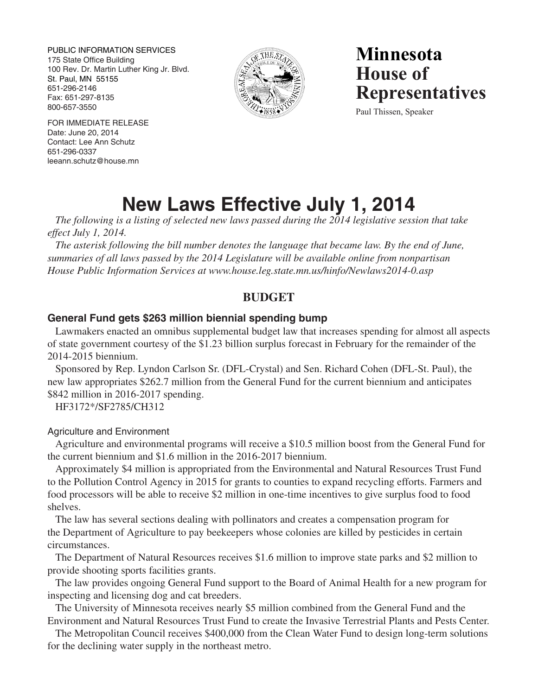PUBLIC INFORMATION SERVICES 175 State Office Building 100 Rev. Dr. Martin Luther King Jr. Blvd. St. Paul, MN 55155 651-296-2146 Fax: 651-297-8135 800-657-3550



**Minnesota House of Representatives**

Paul Thissen, Speaker

FOR IMMEDIATE RELEASE Date: June 20, 2014 Contact: Lee Ann Schutz 651-296-0337 leeann.schutz@house.mn

# **New Laws Effective July 1, 2014**

*The following is a listing of selected new laws passed during the 2014 legislative session that take effect July 1, 2014.* 

*The asterisk following the bill number denotes the language that became law. By the end of June, summaries of all laws passed by the 2014 Legislature will be available online from nonpartisan House Public Information Services at www.house.leg.state.mn.us/hinfo/Newlaws2014-0.asp*

# **BUDGET**

# **General Fund gets \$263 million biennial spending bump**

Lawmakers enacted an omnibus supplemental budget law that increases spending for almost all aspects of state government courtesy of the \$1.23 billion surplus forecast in February for the remainder of the 2014-2015 biennium.

Sponsored by Rep. Lyndon Carlson Sr. (DFL-Crystal) and Sen. Richard Cohen (DFL-St. Paul), the new law appropriates \$262.7 million from the General Fund for the current biennium and anticipates \$842 million in 2016-2017 spending.

HF3172\*/SF2785/CH312

## Agriculture and Environment

Agriculture and environmental programs will receive a \$10.5 million boost from the General Fund for the current biennium and \$1.6 million in the 2016-2017 biennium.

Approximately \$4 million is appropriated from the Environmental and Natural Resources Trust Fund to the Pollution Control Agency in 2015 for grants to counties to expand recycling efforts. Farmers and food processors will be able to receive \$2 million in one-time incentives to give surplus food to food shelves.

The law has several sections dealing with pollinators and creates a compensation program for the Department of Agriculture to pay beekeepers whose colonies are killed by pesticides in certain circumstances.

The Department of Natural Resources receives \$1.6 million to improve state parks and \$2 million to provide shooting sports facilities grants.

The law provides ongoing General Fund support to the Board of Animal Health for a new program for inspecting and licensing dog and cat breeders.

The University of Minnesota receives nearly \$5 million combined from the General Fund and the Environment and Natural Resources Trust Fund to create the Invasive Terrestrial Plants and Pests Center.

The Metropolitan Council receives \$400,000 from the Clean Water Fund to design long-term solutions for the declining water supply in the northeast metro.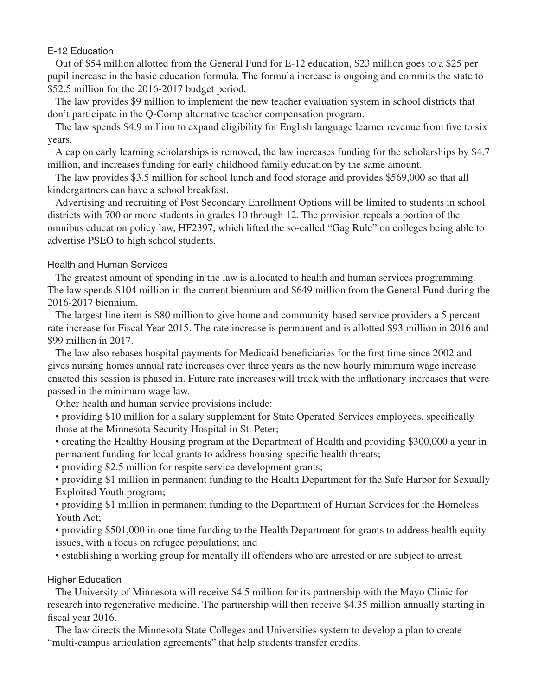## E-12 Education

Out of \$54 million allotted from the General Fund for E-12 education, \$23 million goes to a \$25 per pupil increase in the basic education formula. The formula increase is ongoing and commits the state to \$52.5 million for the 2016-2017 budget period.

The law provides \$9 million to implement the new teacher evaluation system in school districts that don't participate in the Q-Comp alternative teacher compensation program.

The law spends \$4.9 million to expand eligibility for English language learner revenue from five to six years.

A cap on early learning scholarships is removed, the law increases funding for the scholarships by \$4.7 million, and increases funding for early childhood family education by the same amount.

The law provides \$3.5 million for school lunch and food storage and provides \$569,000 so that all kindergartners can have a school breakfast.

Advertising and recruiting of Post Secondary Enrollment Options will be limited to students in school districts with 700 or more students in grades 10 through 12. The provision repeals a portion of the omnibus education policy law, HF2397, which lifted the so-called "Gag Rule" on colleges being able to advertise PSEO to high school students.

## Health and Human Services

The greatest amount of spending in the law is allocated to health and human services programming. The law spends \$104 million in the current biennium and \$649 million from the General Fund during the 2016-2017 biennium.

The largest line item is \$80 million to give home and community-based service providers a 5 percent rate increase for Fiscal Year 2015. The rate increase is permanent and is allotted \$93 million in 2016 and \$99 million in 2017.

The law also rebases hospital payments for Medicaid beneficiaries for the first time since 2002 and gives nursing homes annual rate increases over three years as the new hourly minimum wage increase enacted this session is phased in. Future rate increases will track with the inflationary increases that were passed in the minimum wage law.

Other health and human service provisions include:

 • providing \$10 million for a salary supplement for State Operated Services employees, specifically those at the Minnesota Security Hospital in St. Peter;

 • creating the Healthy Housing program at the Department of Health and providing \$300,000 a year in permanent funding for local grants to address housing-specific health threats;

 • providing \$2.5 million for respite service development grants;

 • providing \$1 million in permanent funding to the Health Department for the Safe Harbor for Sexually Exploited Youth program;

 • providing \$1 million in permanent funding to the Department of Human Services for the Homeless Youth Act;

 • providing \$501,000 in one-time funding to the Health Department for grants to address health equity issues, with a focus on refugee populations; and

 • establishing a working group for mentally ill offenders who are arrested or are subject to arrest.

## Higher Education

The University of Minnesota will receive \$4.5 million for its partnership with the Mayo Clinic for research into regenerative medicine. The partnership will then receive \$4.35 million annually starting in fiscal year 2016.

The law directs the Minnesota State Colleges and Universities system to develop a plan to create "multi-campus articulation agreements" that help students transfer credits.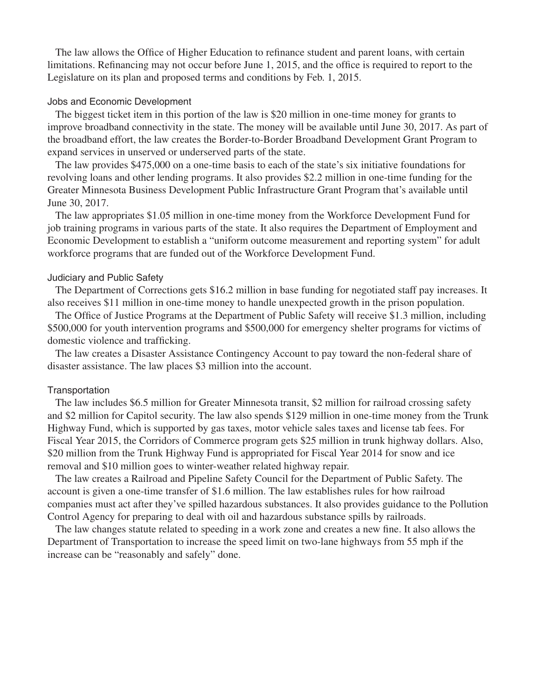The law allows the Office of Higher Education to refinance student and parent loans, with certain limitations. Refinancing may not occur before June 1, 2015, and the office is required to report to the Legislature on its plan and proposed terms and conditions by Feb. 1, 2015.

#### Jobs and Economic Development

The biggest ticket item in this portion of the law is \$20 million in one-time money for grants to improve broadband connectivity in the state. The money will be available until June 30, 2017. As part of the broadband effort, the law creates the Border-to-Border Broadband Development Grant Program to expand services in unserved or underserved parts of the state.

The law provides \$475,000 on a one-time basis to each of the state's six initiative foundations for revolving loans and other lending programs. It also provides \$2.2 million in one-time funding for the Greater Minnesota Business Development Public Infrastructure Grant Program that's available until June 30, 2017.

The law appropriates \$1.05 million in one-time money from the Workforce Development Fund for job training programs in various parts of the state. It also requires the Department of Employment and Economic Development to establish a "uniform outcome measurement and reporting system" for adult workforce programs that are funded out of the Workforce Development Fund.

#### Judiciary and Public Safety

The Department of Corrections gets \$16.2 million in base funding for negotiated staff pay increases. It also receives \$11 million in one-time money to handle unexpected growth in the prison population.

The Office of Justice Programs at the Department of Public Safety will receive \$1.3 million, including \$500,000 for youth intervention programs and \$500,000 for emergency shelter programs for victims of domestic violence and trafficking.

The law creates a Disaster Assistance Contingency Account to pay toward the non-federal share of disaster assistance. The law places \$3 million into the account.

#### **Transportation**

The law includes \$6.5 million for Greater Minnesota transit, \$2 million for railroad crossing safety and \$2 million for Capitol security. The law also spends \$129 million in one-time money from the Trunk Highway Fund, which is supported by gas taxes, motor vehicle sales taxes and license tab fees. For Fiscal Year 2015, the Corridors of Commerce program gets \$25 million in trunk highway dollars. Also, \$20 million from the Trunk Highway Fund is appropriated for Fiscal Year 2014 for snow and ice removal and \$10 million goes to winter-weather related highway repair.

The law creates a Railroad and Pipeline Safety Council for the Department of Public Safety. The account is given a one-time transfer of \$1.6 million. The law establishes rules for how railroad companies must act after they've spilled hazardous substances. It also provides guidance to the Pollution Control Agency for preparing to deal with oil and hazardous substance spills by railroads.

The law changes statute related to speeding in a work zone and creates a new fine. It also allows the Department of Transportation to increase the speed limit on two-lane highways from 55 mph if the increase can be "reasonably and safely" done.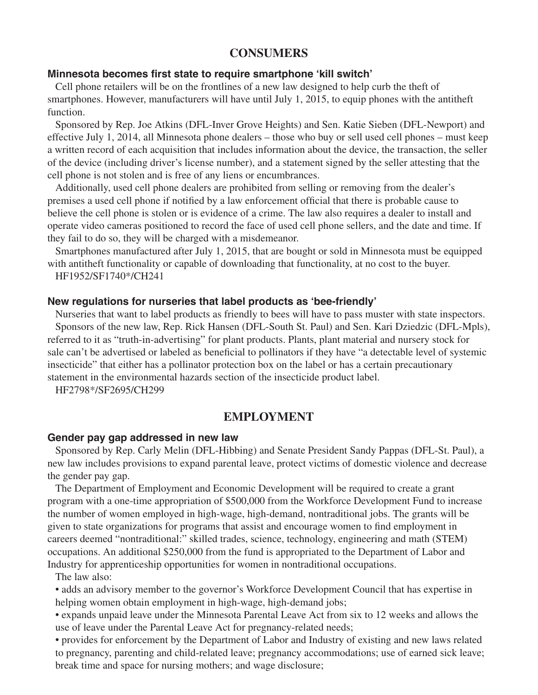# **CONSUMERS**

#### **Minnesota becomes first state to require smartphone 'kill switch'**

Cell phone retailers will be on the frontlines of a new law designed to help curb the theft of smartphones. However, manufacturers will have until July 1, 2015, to equip phones with the antitheft function.

Sponsored by Rep. Joe Atkins (DFL-Inver Grove Heights) and Sen. Katie Sieben (DFL-Newport) and effective July 1, 2014, all Minnesota phone dealers – those who buy or sell used cell phones – must keep a written record of each acquisition that includes information about the device, the transaction, the seller of the device (including driver's license number), and a statement signed by the seller attesting that the cell phone is not stolen and is free of any liens or encumbrances.

Additionally, used cell phone dealers are prohibited from selling or removing from the dealer's premises a used cell phone if notified by a law enforcement official that there is probable cause to believe the cell phone is stolen or is evidence of a crime. The law also requires a dealer to install and operate video cameras positioned to record the face of used cell phone sellers, and the date and time. If they fail to do so, they will be charged with a misdemeanor.

 Smartphones manufactured after July 1, 2015, that are bought or sold in Minnesota must be equipped with antitheft functionality or capable of downloading that functionality, at no cost to the buyer. HF1952/SF1740\*/CH241

#### **New regulations for nurseries that label products as 'bee-friendly'**

Nurseries that want to label products as friendly to bees will have to pass muster with state inspectors. Sponsors of the new law, Rep. Rick Hansen (DFL-South St. Paul) and Sen. Kari Dziedzic (DFL-Mpls), referred to it as "truth-in-advertising" for plant products. Plants, plant material and nursery stock for sale can't be advertised or labeled as beneficial to pollinators if they have "a detectable level of systemic insecticide" that either has a pollinator protection box on the label or has a certain precautionary statement in the environmental hazards section of the insecticide product label.

HF2798\*/SF2695/CH299

# **EMPLOYMENT**

#### **Gender pay gap addressed in new law**

Sponsored by Rep. Carly Melin (DFL-Hibbing) and Senate President Sandy Pappas (DFL-St. Paul), a new law includes provisions to expand parental leave, protect victims of domestic violence and decrease the gender pay gap.

 The Department of Employment and Economic Development will be required to create a grant program with a one-time appropriation of \$500,000 from the Workforce Development Fund to increase the number of women employed in high-wage, high-demand, nontraditional jobs. The grants will be given to state organizations for programs that assist and encourage women to find employment in careers deemed "nontraditional:" skilled trades, science, technology, engineering and math (STEM) occupations. An additional \$250,000 from the fund is appropriated to the Department of Labor and Industry for apprenticeship opportunities for women in nontraditional occupations.

The law also:

 • adds an advisory member to the governor's Workforce Development Council that has expertise in helping women obtain employment in high-wage, high-demand jobs;

 • expands unpaid leave under the Minnesota Parental Leave Act from six to 12 weeks and allows the use of leave under the Parental Leave Act for pregnancy-related needs;

 • provides for enforcement by the Department of Labor and Industry of existing and new laws related to pregnancy, parenting and child-related leave; pregnancy accommodations; use of earned sick leave; break time and space for nursing mothers; and wage disclosure;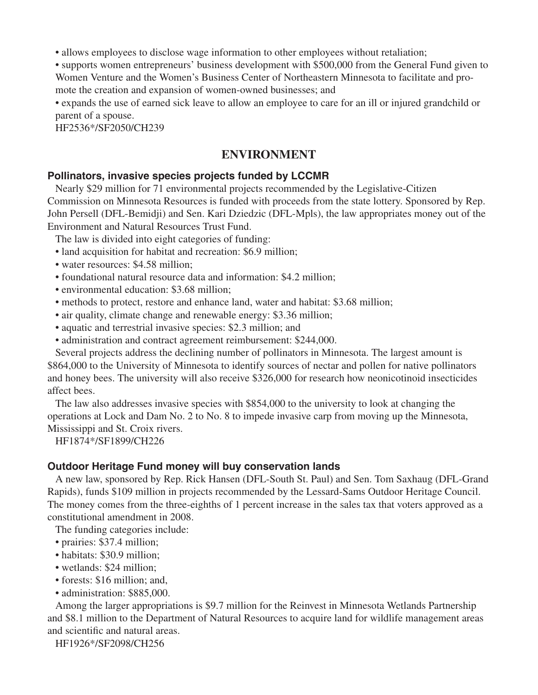• allows employees to disclose wage information to other employees without retaliation;

 • supports women entrepreneurs' business development with \$500,000 from the General Fund given to Women Venture and the Women's Business Center of Northeastern Minnesota to facilitate and promote the creation and expansion of women-owned businesses; and

 • expands the use of earned sick leave to allow an employee to care for an ill or injured grandchild or parent of a spouse.

HF2536\*/SF2050/CH239

# **ENVIRONMENT**

# **Pollinators, invasive species projects funded by LCCMR**

 Nearly \$29 million for 71 environmental projects recommended by the Legislative-Citizen Commission on Minnesota Resources is funded with proceeds from the state lottery. Sponsored by Rep. John Persell (DFL-Bemidji) and Sen. Kari Dziedzic (DFL-Mpls), the law appropriates money out of the Environment and Natural Resources Trust Fund.

The law is divided into eight categories of funding:

- land acquisition for habitat and recreation: \$6.9 million;
- water resources: \$4.58 million:
- foundational natural resource data and information: \$4.2 million;
- environmental education: \$3.68 million;
- methods to protect, restore and enhance land, water and habitat: \$3.68 million;
- air quality, climate change and renewable energy: \$3.36 million;
- aquatic and terrestrial invasive species: \$2.3 million; and
- administration and contract agreement reimbursement: \$244,000.

 Several projects address the declining number of pollinators in Minnesota. The largest amount is \$864,000 to the University of Minnesota to identify sources of nectar and pollen for native pollinators and honey bees. The university will also receive \$326,000 for research how neonicotinoid insecticides affect bees.

The law also addresses invasive species with \$854,000 to the university to look at changing the operations at Lock and Dam No. 2 to No. 8 to impede invasive carp from moving up the Minnesota, Mississippi and St. Croix rivers.

HF1874\*/SF1899/CH226

## **Outdoor Heritage Fund money will buy conservation lands**

A new law, sponsored by Rep. Rick Hansen (DFL-South St. Paul) and Sen. Tom Saxhaug (DFL-Grand Rapids), funds \$109 million in projects recommended by the Lessard-Sams Outdoor Heritage Council. The money comes from the three-eighths of 1 percent increase in the sales tax that voters approved as a constitutional amendment in 2008.

The funding categories include:

- prairies: \$37.4 million;
- habitats: \$30.9 million;
- wetlands: \$24 million;
- forests: \$16 million; and,
- administration: \$885,000.

Among the larger appropriations is \$9.7 million for the Reinvest in Minnesota Wetlands Partnership and \$8.1 million to the Department of Natural Resources to acquire land for wildlife management areas and scientific and natural areas.

HF1926\*/SF2098/CH256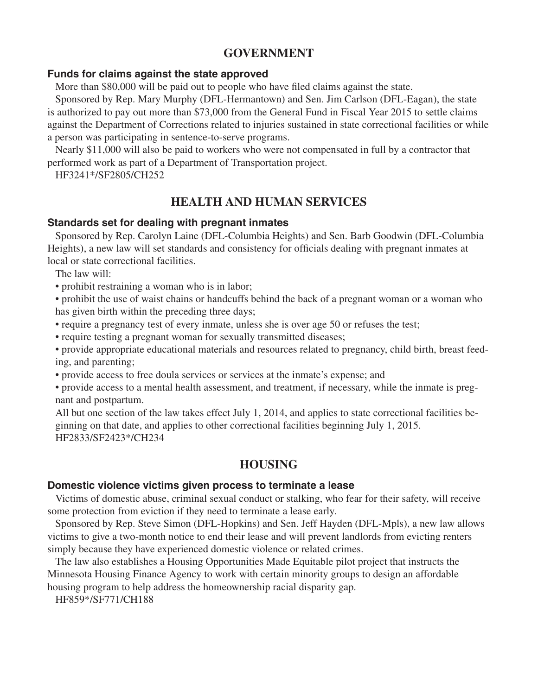# **GOVERNMENT**

## **Funds for claims against the state approved**

More than \$80,000 will be paid out to people who have filed claims against the state.

Sponsored by Rep. Mary Murphy (DFL-Hermantown) and Sen. Jim Carlson (DFL-Eagan), the state is authorized to pay out more than \$73,000 from the General Fund in Fiscal Year 2015 to settle claims against the Department of Corrections related to injuries sustained in state correctional facilities or while a person was participating in sentence-to-serve programs.

Nearly \$11,000 will also be paid to workers who were not compensated in full by a contractor that performed work as part of a Department of Transportation project.

HF3241\*/SF2805/CH252

# **HEALTH AND HUMAN SERVICES**

## **Standards set for dealing with pregnant inmates**

Sponsored by Rep. Carolyn Laine (DFL-Columbia Heights) and Sen. Barb Goodwin (DFL-Columbia Heights), a new law will set standards and consistency for officials dealing with pregnant inmates at local or state correctional facilities.

The law will:

 • prohibit restraining a woman who is in labor;

 • prohibit the use of waist chains or handcuffs behind the back of a pregnant woman or a woman who has given birth within the preceding three days;

- require a pregnancy test of every inmate, unless she is over age 50 or refuses the test;
- require testing a pregnant woman for sexually transmitted diseases;

 • provide appropriate educational materials and resources related to pregnancy, child birth, breast feeding, and parenting;

 • provide access to free doula services or services at the inmate's expense; and

 • provide access to a mental health assessment, and treatment, if necessary, while the inmate is pregnant and postpartum.

All but one section of the law takes effect July 1, 2014, and applies to state correctional facilities beginning on that date, and applies to other correctional facilities beginning July 1, 2015. HF2833/SF2423\*/CH234

# **HOUSING**

#### **Domestic violence victims given process to terminate a lease**

Victims of domestic abuse, criminal sexual conduct or stalking, who fear for their safety, will receive some protection from eviction if they need to terminate a lease early.

Sponsored by Rep. Steve Simon (DFL-Hopkins) and Sen. Jeff Hayden (DFL-Mpls), a new law allows victims to give a two-month notice to end their lease and will prevent landlords from evicting renters simply because they have experienced domestic violence or related crimes.

 The law also establishes a Housing Opportunities Made Equitable pilot project that instructs the Minnesota Housing Finance Agency to work with certain minority groups to design an affordable housing program to help address the homeownership racial disparity gap.

HF859\*/SF771/CH188